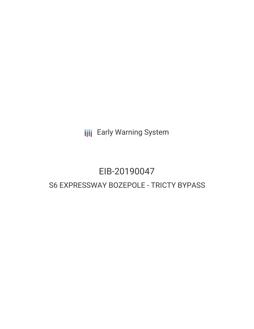**III** Early Warning System

# EIB-20190047 S6 EXPRESSWAY BOZEPOLE - TRICTY BYPASS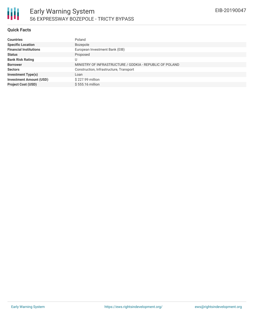

### **Quick Facts**

| <b>Countries</b>               | Poland                                                   |
|--------------------------------|----------------------------------------------------------|
| <b>Specific Location</b>       | Bozepole                                                 |
| <b>Financial Institutions</b>  | European Investment Bank (EIB)                           |
| <b>Status</b>                  | Proposed                                                 |
| <b>Bank Risk Rating</b>        | U                                                        |
| <b>Borrower</b>                | MINISTRY OF INFRASTRUCTURE / GDDKIA - REPUBLIC OF POLAND |
| <b>Sectors</b>                 | Construction, Infrastructure, Transport                  |
| <b>Investment Type(s)</b>      | Loan                                                     |
| <b>Investment Amount (USD)</b> | \$227.99 million                                         |
| <b>Project Cost (USD)</b>      | $$555.16$ million                                        |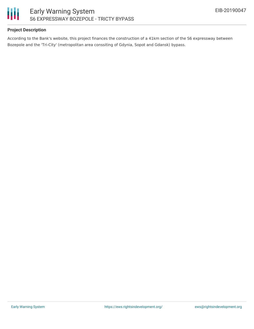

# **Project Description**

According to the Bank's website, this project finances the construction of a 41km section of the S6 expressway between Bozepole and the 'Tri-City' (metropolitan area conssiting of Gdynia, Sopot and Gdansk) bypass.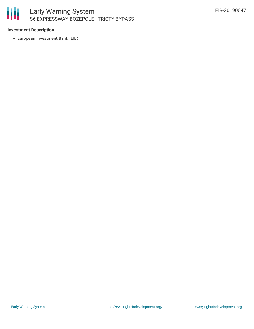

## **Investment Description**

European Investment Bank (EIB)